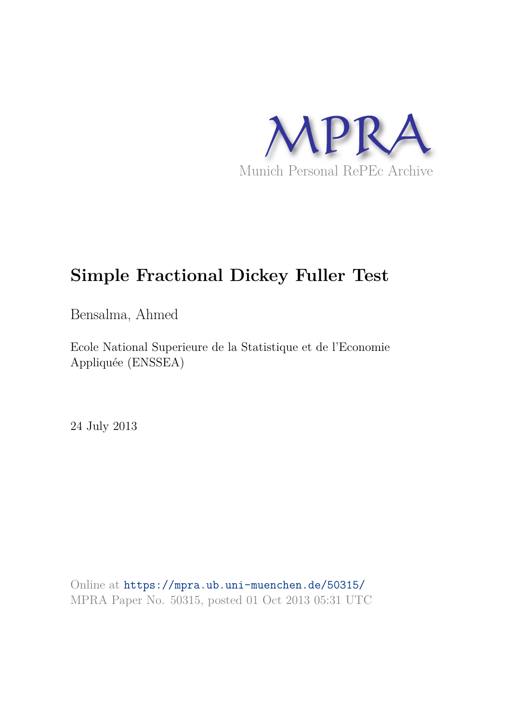

## **Simple Fractional Dickey Fuller Test**

Bensalma, Ahmed

Ecole National Superieure de la Statistique et de l'Economie Appliquée (ENSSEA)

24 July 2013

Online at https://mpra.ub.uni-muenchen.de/50315/ MPRA Paper No. 50315, posted 01 Oct 2013 05:31 UTC